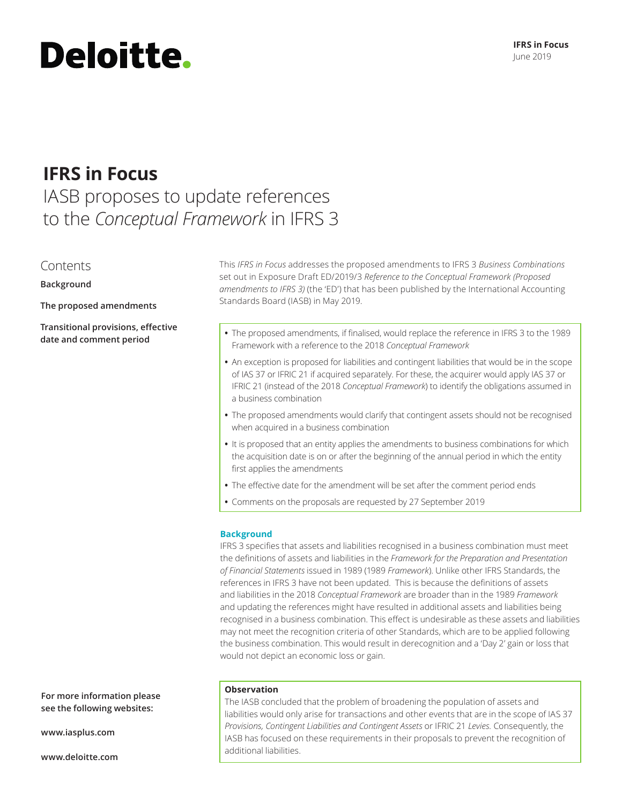#### **IFRS in Focus** June 2019

# **Deloitte.**

## **IFRS in Focus**

### IASB proposes to update references to the *Conceptual Framework* in IFRS 3

#### Contents

**Background**

**The proposed amendments**

**Transitional provisions, effective** 

This *IFRS in Focus* addresses the proposed amendments to IFRS 3 *Business Combinations*  set out in Exposure Draft ED/2019/3 *Reference to the Conceptual Framework (Proposed amendments to IFRS 3)* (the 'ED') that has been published by the International Accounting Standards Board (IASB) in May 2019.

- **date and comment period •** The proposed amendments, if finalised, would replace the reference in IFRS 3 to the 1989 Framework with a reference to the 2018 *Conceptual Framework*
	- **•** An exception is proposed for liabilities and contingent liabilities that would be in the scope of IAS 37 or IFRIC 21 if acquired separately. For these, the acquirer would apply IAS 37 or IFRIC 21 (instead of the 2018 *Conceptual Framework*) to identify the obligations assumed in a business combination
	- **•** The proposed amendments would clarify that contingent assets should not be recognised when acquired in a business combination
	- **•** It is proposed that an entity applies the amendments to business combinations for which the acquisition date is on or after the beginning of the annual period in which the entity first applies the amendments
	- **•** The effective date for the amendment will be set after the comment period ends
	- **•** Comments on the proposals are requested by 27 September 2019

#### **Background**

IFRS 3 specifies that assets and liabilities recognised in a business combination must meet the definitions of assets and liabilities in the *Framework for the Preparation and Presentation of Financial Statements* issued in 1989 (1989 *Framework*). Unlike other IFRS Standards, the references in IFRS 3 have not been updated. This is because the definitions of assets and liabilities in the 2018 *Conceptual Framework* are broader than in the 1989 *Framework* and updating the references might have resulted in additional assets and liabilities being recognised in a business combination. This effect is undesirable as these assets and liabilities may not meet the recognition criteria of other Standards, which are to be applied following the business combination. This would result in derecognition and a 'Day 2' gain or loss that would not depict an economic loss or gain.

#### **Observation**

The IASB concluded that the problem of broadening the population of assets and liabilities would only arise for transactions and other events that are in the scope of IAS 37 *Provisions, Contingent Liabilities and Contingent Assets* or IFRIC 21 *Levies.* Consequently, the IASB has focused on these requirements in their proposals to prevent the recognition of additional liabilities.

**For more information please see the following websites:**

**www.iasplus.com**

**www.deloitte.com**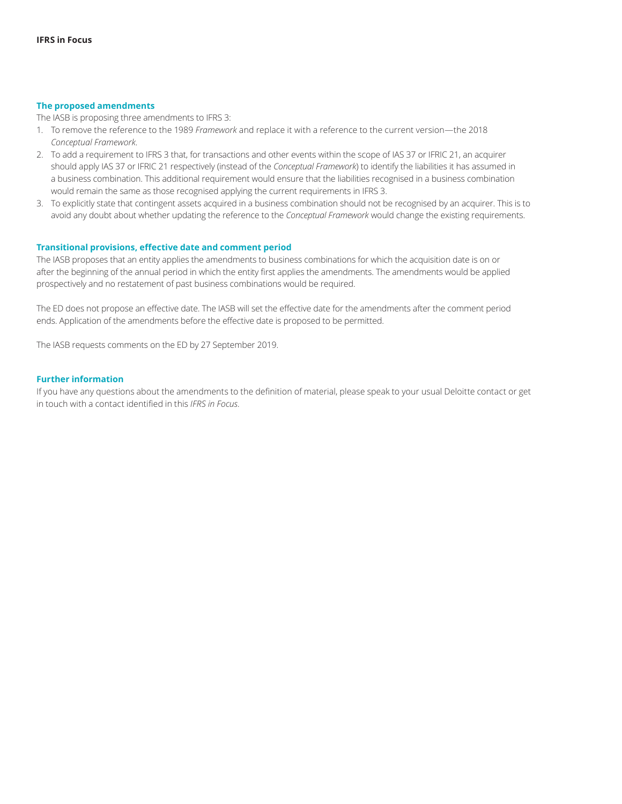#### **The proposed amendments**

The IASB is proposing three amendments to IFRS 3:

- 1. To remove the reference to the 1989 *Framework* and replace it with a reference to the current version—the 2018 *Conceptual Framework.*
- 2. To add a requirement to IFRS 3 that, for transactions and other events within the scope of IAS 37 or IFRIC 21, an acquirer should apply IAS 37 or IFRIC 21 respectively (instead of the *Conceptual Framework*) to identify the liabilities it has assumed in a business combination. This additional requirement would ensure that the liabilities recognised in a business combination would remain the same as those recognised applying the current requirements in IFRS 3.
- 3. To explicitly state that contingent assets acquired in a business combination should not be recognised by an acquirer. This is to avoid any doubt about whether updating the reference to the *Conceptual Framework* would change the existing requirements.

#### **Transitional provisions, effective date and comment period**

The IASB proposes that an entity applies the amendments to business combinations for which the acquisition date is on or after the beginning of the annual period in which the entity first applies the amendments. The amendments would be applied prospectively and no restatement of past business combinations would be required.

The ED does not propose an effective date. The IASB will set the effective date for the amendments after the comment period ends. Application of the amendments before the effective date is proposed to be permitted.

The IASB requests comments on the ED by 27 September 2019.

#### **Further information**

If you have any questions about the amendments to the definition of material, please speak to your usual Deloitte contact or get in touch with a contact identified in this *IFRS in Focus.*